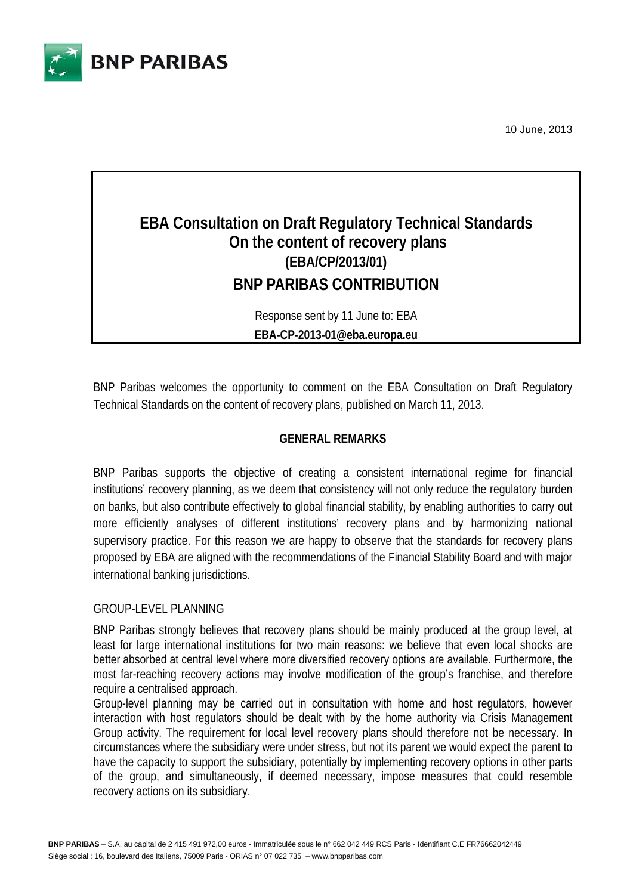

10 June, 2013

# **EBA Consultation on Draft Regulatory Technical Standards On the content of recovery plans (EBA/CP/2013/01) BNP PARIBAS CONTRIBUTION**

Response sent by 11 June to: EBA **EBA-CP-2013-01@eba.europa.eu**

BNP Paribas welcomes the opportunity to comment on the EBA Consultation on Draft Regulatory Technical Standards on the content of recovery plans, published on March 11, 2013.

## **GENERAL REMARKS**

BNP Paribas supports the objective of creating a consistent international regime for financial institutions' recovery planning, as we deem that consistency will not only reduce the regulatory burden on banks, but also contribute effectively to global financial stability, by enabling authorities to carry out more efficiently analyses of different institutions' recovery plans and by harmonizing national supervisory practice. For this reason we are happy to observe that the standards for recovery plans proposed by EBA are aligned with the recommendations of the Financial Stability Board and with major international banking jurisdictions.

#### GROUP-LEVEL PLANNING

BNP Paribas strongly believes that recovery plans should be mainly produced at the group level, at least for large international institutions for two main reasons: we believe that even local shocks are better absorbed at central level where more diversified recovery options are available. Furthermore, the most far-reaching recovery actions may involve modification of the group's franchise, and therefore require a centralised approach.

Group-level planning may be carried out in consultation with home and host regulators, however interaction with host regulators should be dealt with by the home authority via Crisis Management Group activity. The requirement for local level recovery plans should therefore not be necessary. In circumstances where the subsidiary were under stress, but not its parent we would expect the parent to have the capacity to support the subsidiary, potentially by implementing recovery options in other parts of the group, and simultaneously, if deemed necessary, impose measures that could resemble recovery actions on its subsidiary.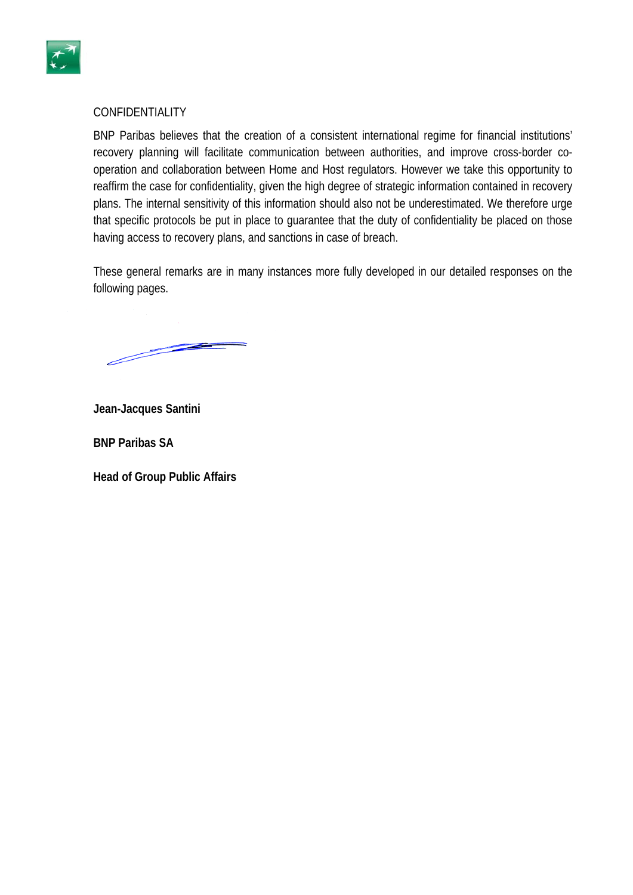

#### CONFIDENTIALITY

BNP Paribas believes that the creation of a consistent international regime for financial institutions' recovery planning will facilitate communication between authorities, and improve cross-border cooperation and collaboration between Home and Host regulators. However we take this opportunity to reaffirm the case for confidentiality, given the high degree of strategic information contained in recovery plans. The internal sensitivity of this information should also not be underestimated. We therefore urge that specific protocols be put in place to guarantee that the duty of confidentiality be placed on those having access to recovery plans, and sanctions in case of breach.

These general remarks are in many instances more fully developed in our detailed responses on the following pages.

<u>Samuel School Section 1888 and 2000 the Contract of the Contract of the Contract of the Contract of the Contract of the Contract of the Contract of the Contract of the Contract of the Contract of the Contract of the Contr</u>

**Jean-Jacques Santini** 

**BNP Paribas SA** 

**Head of Group Public Affairs**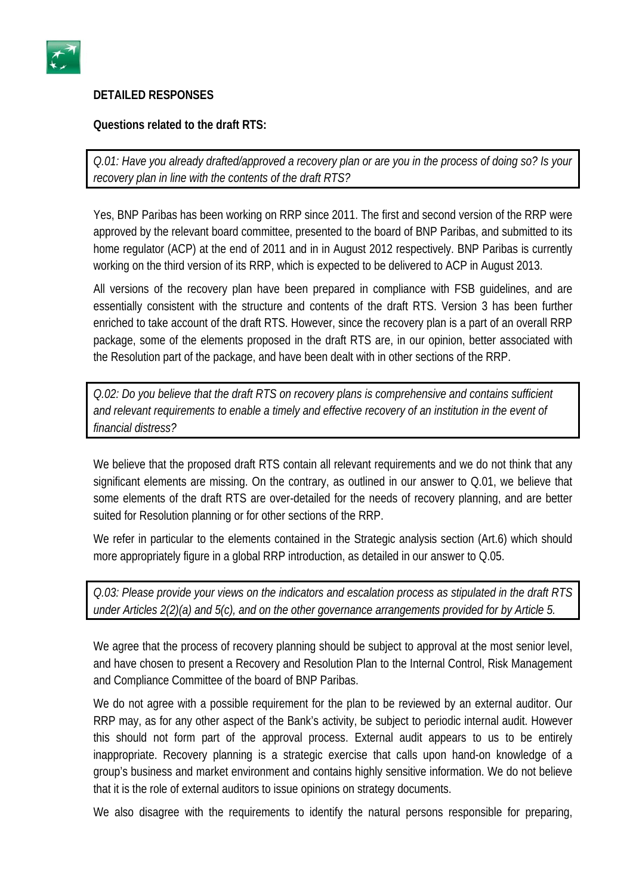

# **DETAILED RESPONSES**

## **Questions related to the draft RTS:**

*Q.01: Have you already drafted/approved a recovery plan or are you in the process of doing so? Is your recovery plan in line with the contents of the draft RTS?* 

Yes, BNP Paribas has been working on RRP since 2011. The first and second version of the RRP were approved by the relevant board committee, presented to the board of BNP Paribas, and submitted to its home regulator (ACP) at the end of 2011 and in in August 2012 respectively. BNP Paribas is currently working on the third version of its RRP, which is expected to be delivered to ACP in August 2013.

All versions of the recovery plan have been prepared in compliance with FSB guidelines, and are essentially consistent with the structure and contents of the draft RTS. Version 3 has been further enriched to take account of the draft RTS. However, since the recovery plan is a part of an overall RRP package, some of the elements proposed in the draft RTS are, in our opinion, better associated with the Resolution part of the package, and have been dealt with in other sections of the RRP.

*Q.02: Do you believe that the draft RTS on recovery plans is comprehensive and contains sufficient and relevant requirements to enable a timely and effective recovery of an institution in the event of financial distress?* 

We believe that the proposed draft RTS contain all relevant requirements and we do not think that any significant elements are missing. On the contrary, as outlined in our answer to Q.01, we believe that some elements of the draft RTS are over-detailed for the needs of recovery planning, and are better suited for Resolution planning or for other sections of the RRP.

We refer in particular to the elements contained in the Strategic analysis section (Art.6) which should more appropriately figure in a global RRP introduction, as detailed in our answer to Q.05.

*Q.03: Please provide your views on the indicators and escalation process as stipulated in the draft RTS under Articles 2(2)(a) and 5(c), and on the other governance arrangements provided for by Article 5.* 

We agree that the process of recovery planning should be subject to approval at the most senior level, and have chosen to present a Recovery and Resolution Plan to the Internal Control, Risk Management and Compliance Committee of the board of BNP Paribas.

We do not agree with a possible requirement for the plan to be reviewed by an external auditor. Our RRP may, as for any other aspect of the Bank's activity, be subject to periodic internal audit. However this should not form part of the approval process. External audit appears to us to be entirely inappropriate. Recovery planning is a strategic exercise that calls upon hand-on knowledge of a group's business and market environment and contains highly sensitive information. We do not believe that it is the role of external auditors to issue opinions on strategy documents.

We also disagree with the requirements to identify the natural persons responsible for preparing,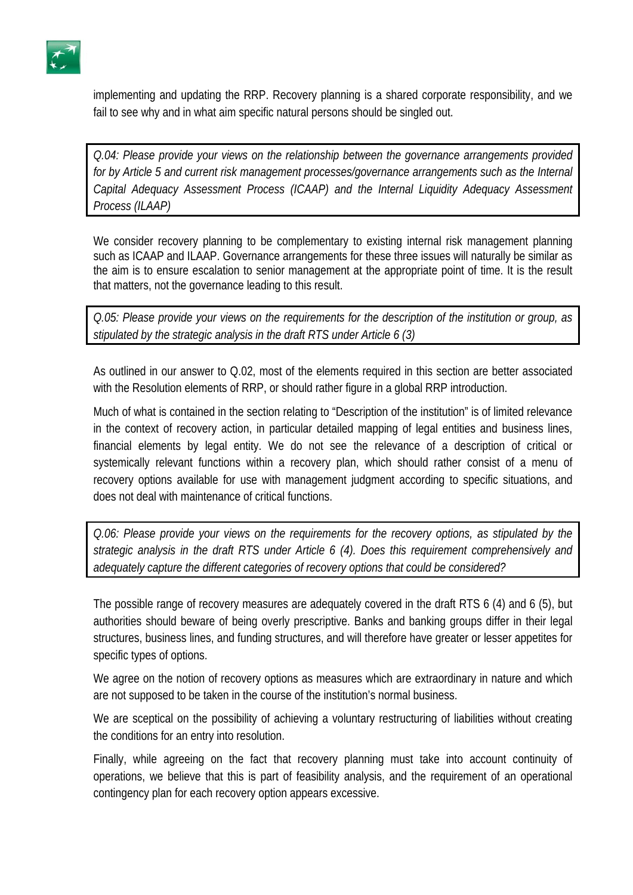

implementing and updating the RRP. Recovery planning is a shared corporate responsibility, and we fail to see why and in what aim specific natural persons should be singled out.

*Q.04: Please provide your views on the relationship between the governance arrangements provided for by Article 5 and current risk management processes/governance arrangements such as the Internal Capital Adequacy Assessment Process (ICAAP) and the Internal Liquidity Adequacy Assessment Process (ILAAP)* 

We consider recovery planning to be complementary to existing internal risk management planning such as ICAAP and ILAAP. Governance arrangements for these three issues will naturally be similar as the aim is to ensure escalation to senior management at the appropriate point of time. It is the result that matters, not the governance leading to this result.

*Q.05: Please provide your views on the requirements for the description of the institution or group, as stipulated by the strategic analysis in the draft RTS under Article 6 (3)* 

As outlined in our answer to Q.02, most of the elements required in this section are better associated with the Resolution elements of RRP, or should rather figure in a global RRP introduction.

Much of what is contained in the section relating to "Description of the institution" is of limited relevance in the context of recovery action, in particular detailed mapping of legal entities and business lines, financial elements by legal entity. We do not see the relevance of a description of critical or systemically relevant functions within a recovery plan, which should rather consist of a menu of recovery options available for use with management judgment according to specific situations, and does not deal with maintenance of critical functions.

*Q.06: Please provide your views on the requirements for the recovery options, as stipulated by the strategic analysis in the draft RTS under Article 6 (4). Does this requirement comprehensively and adequately capture the different categories of recovery options that could be considered?* 

The possible range of recovery measures are adequately covered in the draft RTS 6 (4) and 6 (5), but authorities should beware of being overly prescriptive. Banks and banking groups differ in their legal structures, business lines, and funding structures, and will therefore have greater or lesser appetites for specific types of options.

We agree on the notion of recovery options as measures which are extraordinary in nature and which are not supposed to be taken in the course of the institution's normal business.

We are sceptical on the possibility of achieving a voluntary restructuring of liabilities without creating the conditions for an entry into resolution.

Finally, while agreeing on the fact that recovery planning must take into account continuity of operations, we believe that this is part of feasibility analysis, and the requirement of an operational contingency plan for each recovery option appears excessive.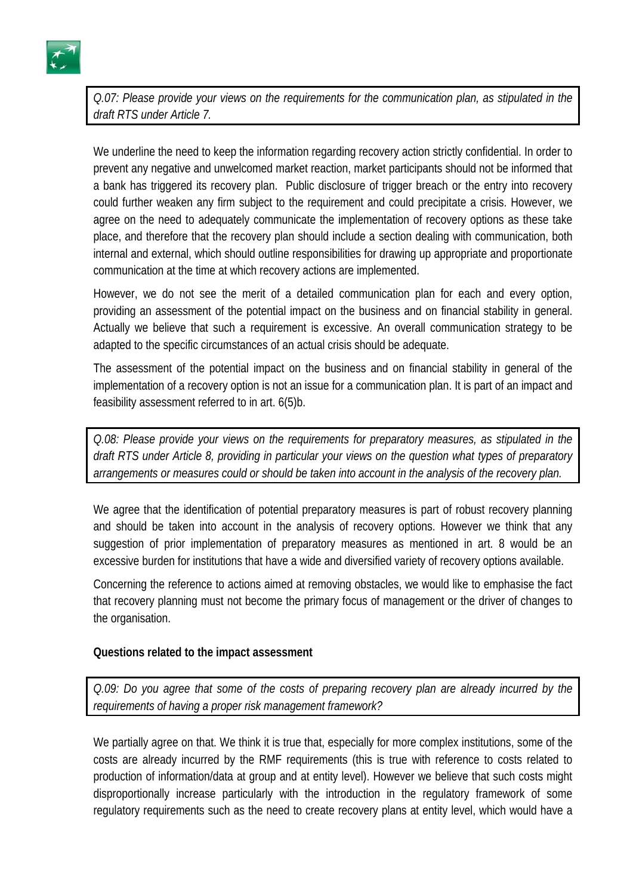

*Q.07: Please provide your views on the requirements for the communication plan, as stipulated in the draft RTS under Article 7.* 

We underline the need to keep the information regarding recovery action strictly confidential. In order to prevent any negative and unwelcomed market reaction, market participants should not be informed that a bank has triggered its recovery plan. Public disclosure of trigger breach or the entry into recovery could further weaken any firm subject to the requirement and could precipitate a crisis. However, we agree on the need to adequately communicate the implementation of recovery options as these take place, and therefore that the recovery plan should include a section dealing with communication, both internal and external, which should outline responsibilities for drawing up appropriate and proportionate communication at the time at which recovery actions are implemented.

However, we do not see the merit of a detailed communication plan for each and every option, providing an assessment of the potential impact on the business and on financial stability in general. Actually we believe that such a requirement is excessive. An overall communication strategy to be adapted to the specific circumstances of an actual crisis should be adequate.

The assessment of the potential impact on the business and on financial stability in general of the implementation of a recovery option is not an issue for a communication plan. It is part of an impact and feasibility assessment referred to in art. 6(5)b.

*Q.08: Please provide your views on the requirements for preparatory measures, as stipulated in the draft RTS under Article 8, providing in particular your views on the question what types of preparatory arrangements or measures could or should be taken into account in the analysis of the recovery plan.* 

We agree that the identification of potential preparatory measures is part of robust recovery planning and should be taken into account in the analysis of recovery options. However we think that any suggestion of prior implementation of preparatory measures as mentioned in art. 8 would be an excessive burden for institutions that have a wide and diversified variety of recovery options available.

Concerning the reference to actions aimed at removing obstacles, we would like to emphasise the fact that recovery planning must not become the primary focus of management or the driver of changes to the organisation.

# **Questions related to the impact assessment**

*Q.09: Do you agree that some of the costs of preparing recovery plan are already incurred by the requirements of having a proper risk management framework?* 

We partially agree on that. We think it is true that, especially for more complex institutions, some of the costs are already incurred by the RMF requirements (this is true with reference to costs related to production of information/data at group and at entity level). However we believe that such costs might disproportionally increase particularly with the introduction in the regulatory framework of some regulatory requirements such as the need to create recovery plans at entity level, which would have a